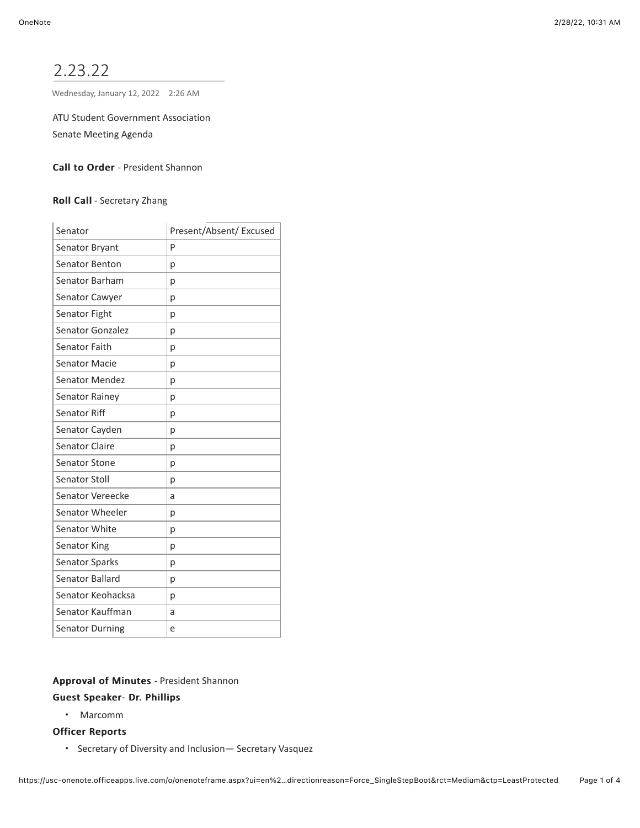# 2.23.22

Wednesday, January 12, 2022 2:26 AM

ATU Student Government Association

Senate Meeting Agenda

# Call to Order - President Shannon

#### Roll Call - Secretary Zhang

| Senator                 | Present/Absent/ Excused |
|-------------------------|-------------------------|
| Senator Bryant          | P                       |
| Senator Benton          | p                       |
| Senator Barham          | p                       |
| Senator Cawyer          | p                       |
| Senator Fight           | р                       |
| Senator Gonzalez        | p                       |
| Senator Faith           | р                       |
| <b>Senator Macie</b>    | p                       |
| <b>Senator Mendez</b>   | p                       |
| Senator Rainey          | p                       |
| Senator Riff            | p                       |
| Senator Cayden          | p                       |
| <b>Senator Claire</b>   | p                       |
| <b>Senator Stone</b>    | p                       |
| <b>Senator Stoll</b>    | p                       |
| <b>Senator Vereecke</b> | a                       |
| Senator Wheeler         | р                       |
| Senator White           | p                       |
| <b>Senator King</b>     | p                       |
| Senator Sparks          | p                       |
| Senator Ballard         | p                       |
| Senator Keohacksa       | p                       |
| Senator Kauffman        | a                       |
| <b>Senator Durning</b>  | e                       |

# Approval of Minutes - President Shannon

# Guest Speaker- Dr. Phillips Guest Speaker- Dr. Phillips

• Marcomm

#### **Officer Reports**

• Secretary of Diversity and Inclusion— Secretary Vasquez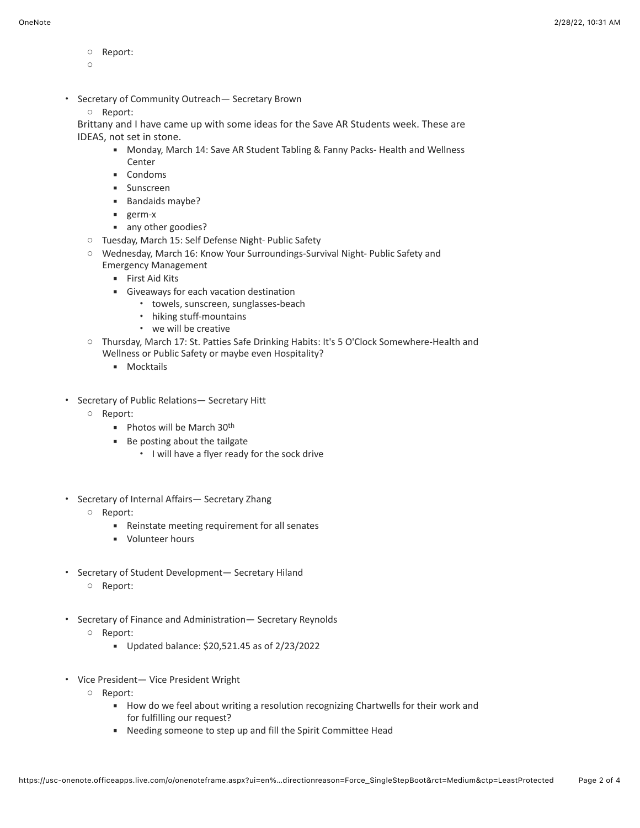- Report:
- $\bigcap$
- Secretary of Community Outreach— Secretary Brown
	- Report:

Brittany and I have came up with some ideas for the Save AR Students week. These are IDEAS, not set in stone.

- Monday, March 14: Save AR Student Tabling & Fanny Packs- Health and Wellness Center
- Condoms
- **■** Sunscreen
- Bandaids maybe?
- germ-x
- any other goodies?
- Tuesday, March 15: Self Defense Night- Public Safety
- Wednesday, March 16: Know Your Surroundings-Survival Night- Public Safety and Emergency Management
	- **Eirst Aid Kits**
	- **EXEC** Giveaways for each vacation destination
		- towels, sunscreen, sunglasses-beach
		- hiking stuff-mountains
		- we will be creative
- Thursday, March 17: St. Patties Safe Drinking Habits: It's 5 O'Clock Somewhere-Health and Wellness or Public Safety or maybe even Hospitality?
	- Mocktails
- Secretary of Public Relations— Secretary Hitt
	- Report:
		- $\blacksquare$  Photos will be March 30<sup>th</sup>
		- Be posting about the tailgate
			- I will have a flyer ready for the sock drive
- Secretary of Internal Affairs— Secretary Zhang
	- Report:
		- Reinstate meeting requirement for all senates
		- Volunteer hours
- Secretary of Student Development— Secretary Hiland ○ Report:
- Secretary of Finance and Administration— Secretary Reynolds
	- Report:
		- Updated balance: \$20,521.45 as of 2/23/2022
- Vice President— Vice President Wright
	- Report:
		- How do we feel about writing a resolution recognizing Chartwells for their work and for fulfilling our request?
		- Needing someone to step up and fill the Spirit Committee Head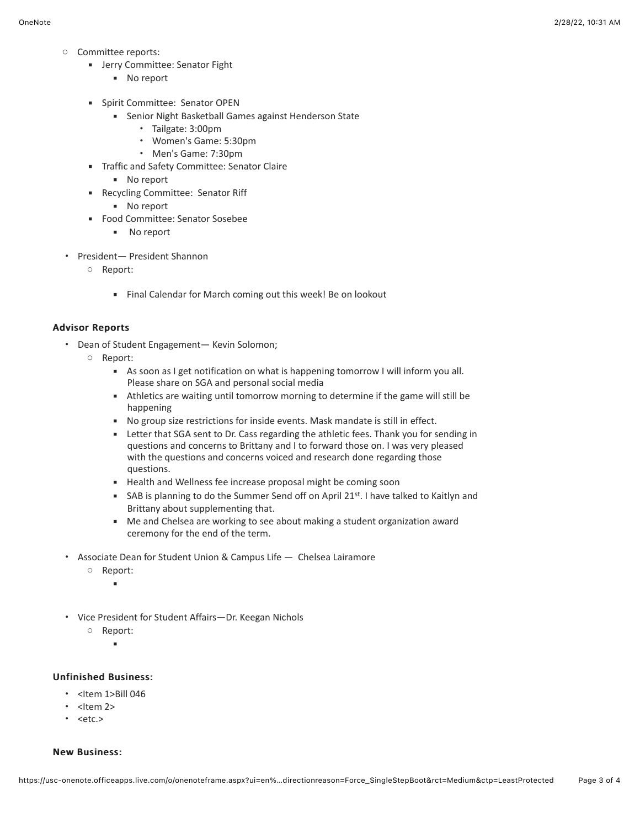- Committee reports:
	- **■** Jerry Committee: Senator Fight
		- No report
	- **·** Spirit Committee: Senator OPEN
		- **EXECT:** Senior Night Basketball Games against Henderson State
			- Tailgate: 3:00pm
			- Women's Game: 5:30pm
			- Men's Game: 7:30pm
	- Traffic and Safety Committee: Senator Claire
		- No report
	- Recycling Committee: Senator Riff
		- No report
	- Food Committee: Senator Sosebee
		- No report
- President— President Shannon
	- Report:
		- Final Calendar for March coming out this week! Be on lookout

# **Advisor Reports**

- Dean of Student Engagement— Kevin Solomon;
	- Report:
		- As soon as I get notification on what is happening tomorrow I will inform you all. Please share on SGA and personal social media
		- **EXECT** Athletics are waiting until tomorrow morning to determine if the game will still be happening
		- No group size restrictions for inside events. Mask mandate is still in effect.
		- **EXECT LETTER 1** Letter that SGA sent to Dr. Cass regarding the athletic fees. Thank you for sending in questions and concerns to Brittany and I to forward those on. I was very pleased with the questions and concerns voiced and research done regarding those questions.
		- **EXECT** Health and Wellness fee increase proposal might be coming soon
		- **EXECT** SAB is planning to do the Summer Send off on April 21st. I have talked to Kaitlyn and Brittany about supplementing that.
		- Me and Chelsea are working to see about making a student organization award ceremony for the end of the term.
- Associate Dean for Student Union & Campus Life Chelsea Lairamore
	- Report:
		- ▪
- Vice President for Student Affairs—Dr. Keegan Nichols
	- Report: ▪

# Unfinished Business: Unfinished Business:

- <Item 1>Bill 046
- $\cdot$  <Item 2>
- $\cdot$  <etc.>

#### **New Business:**